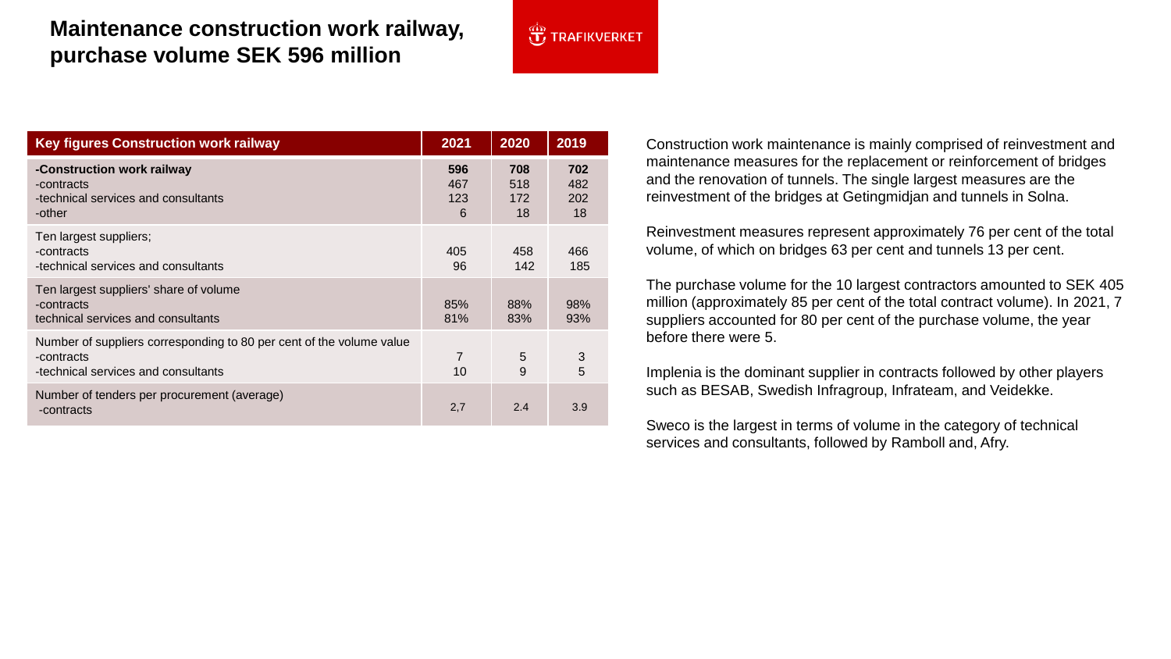## **Maintenance construction work railway, purchase volume SEK 596 million**

| <b>Key figures Construction work railway</b>                                                                              | 2021                   | 2020                    | 2019                    |
|---------------------------------------------------------------------------------------------------------------------------|------------------------|-------------------------|-------------------------|
| -Construction work railway<br>-contracts<br>-technical services and consultants<br>-other                                 | 596<br>467<br>123<br>6 | 708<br>518<br>172<br>18 | 702<br>482<br>202<br>18 |
| Ten largest suppliers;<br>-contracts<br>-technical services and consultants                                               | 405<br>96              | 458<br>142              | 466<br>185              |
| Ten largest suppliers' share of volume<br>-contracts<br>technical services and consultants                                | 85%<br>81%             | 88%<br>83%              | 98%<br>93%              |
| Number of suppliers corresponding to 80 per cent of the volume value<br>-contracts<br>-technical services and consultants | $\overline{7}$<br>10   | 5<br>9                  | 3<br>5                  |
| Number of tenders per procurement (average)<br>-contracts                                                                 | 2,7                    | 2.4                     | 3.9                     |

 $\overbrace{1,1}^{\text{op}}$  TRAFIKVERKET

Construction work maintenance is mainly comprised of reinvestment and maintenance measures for the replacement or reinforcement of bridges and the renovation of tunnels. The single largest measures are the reinvestment of the bridges at Getingmidjan and tunnels in Solna.

Reinvestment measures represent approximately 76 per cent of the total volume, of which on bridges 63 per cent and tunnels 13 per cent.

The purchase volume for the 10 largest contractors amounted to SEK 405 million (approximately 85 per cent of the total contract volume). In 2021, 7 suppliers accounted for 80 per cent of the purchase volume, the year before there were 5.

Implenia is the dominant supplier in contracts followed by other players such as BESAB, Swedish Infragroup, Infrateam, and Veidekke.

Sweco is the largest in terms of volume in the category of technical services and consultants, followed by Ramboll and, Afry.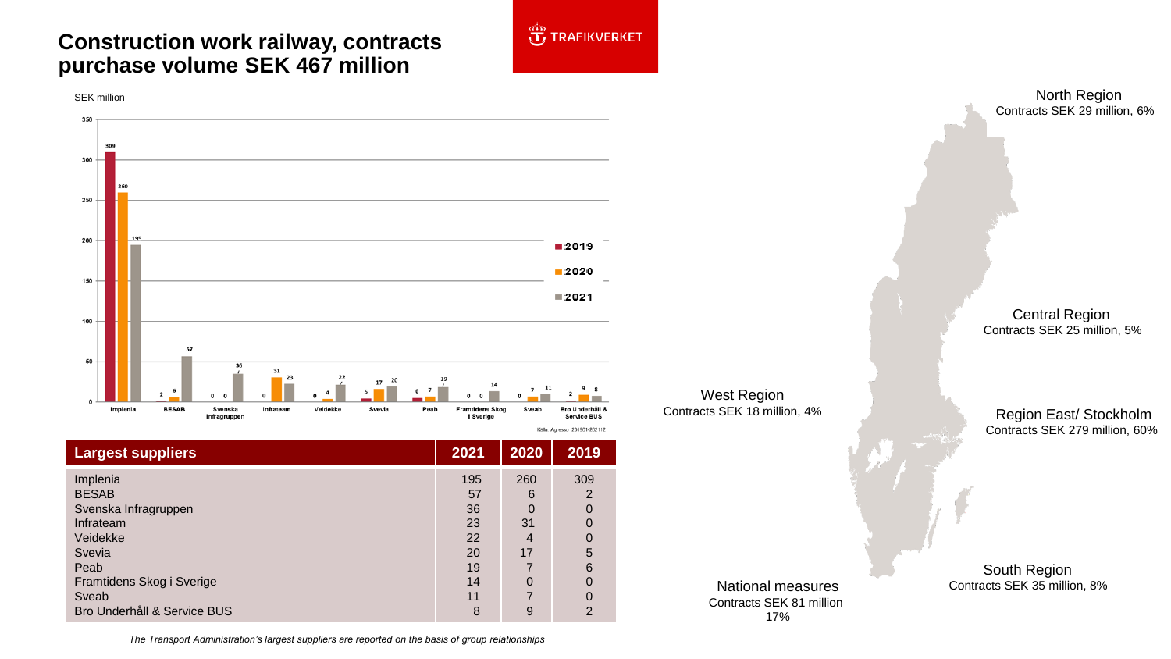## **Construction work railway, contracts purchase volume SEK 467 million**



| <b>Largest suppliers</b>                                                                                                                                         | 2021                                                     | 2020                                                 | 2019                                                                 |
|------------------------------------------------------------------------------------------------------------------------------------------------------------------|----------------------------------------------------------|------------------------------------------------------|----------------------------------------------------------------------|
| Implenia<br><b>BESAB</b><br>Svenska Infragruppen<br>Infrateam<br>Veidekke<br>Svevia<br>Peab<br>Framtidens Skog i Sverige<br>Sveab<br>Bro Underhåll & Service BUS | 195<br>57<br>36<br>23<br>22<br>20<br>19<br>14<br>11<br>8 | 260<br>6<br>0<br>31<br>4<br>17<br>$\Omega$<br>7<br>9 | 309<br>2<br>$\Omega$<br>0<br>0<br>5<br>6<br>0<br>0<br>$\overline{2}$ |

West Region Contracts SEK 18 million, 4%

**JE TRAFIKVERKET** 

North Region Contracts SEK 29 million, 6%

Central Region Contracts SEK 25 million, 5%

Region East/ Stockholm Contracts SEK 279 million, 60%

National measures Contracts SEK 81 million 17%

South Region Contracts SEK 35 million, 8%

*The Transport Administration's largest suppliers are reported on the basis of group relationships*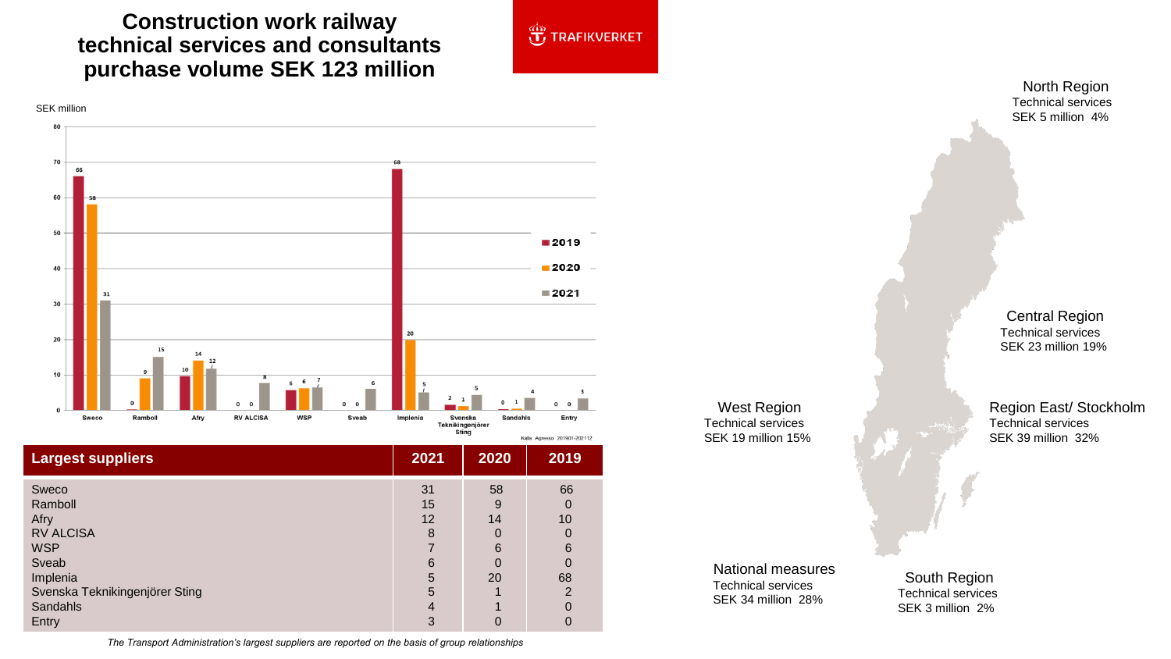## **Construction work railway technical services and consultants**



|                                | งแหน |      | Källa: Agresso 201901-202112 |  |
|--------------------------------|------|------|------------------------------|--|
| <b>Largest suppliers</b>       | 2021 | 2020 | 2019                         |  |
| Sweco                          | 31   | 58   | 66                           |  |
| Ramboll                        | 15   | -9   | 0                            |  |
| Afry                           | 12   | 14   | 10                           |  |
| <b>RV ALCISA</b>               | 8    |      | 0                            |  |
| <b>WSP</b>                     |      | 6    | 6                            |  |
| Sveab                          | 6    |      | 0                            |  |
| Implenia                       | 5    | 20   | 68                           |  |
| Svenska Teknikingenjörer Sting | 5    |      | $\overline{2}$               |  |
| Sandahls                       | 4    |      | 0                            |  |
| Entry                          | 3    |      | 0                            |  |

West Region Technical services SEK 19 million 15%

**JE TRAFIKVERKET** 

Technical services SEK 5 million 4%

Central Region Technical services SEK 23 million 19%

Region East/ Stockholm Technical services SEK 39 million 32%

National measures Technical services SEK 34 million 28%

South Region Technical services SEK 3 million 2%

*The Transport Administration's largest suppliers are reported on the basis of group relationships*